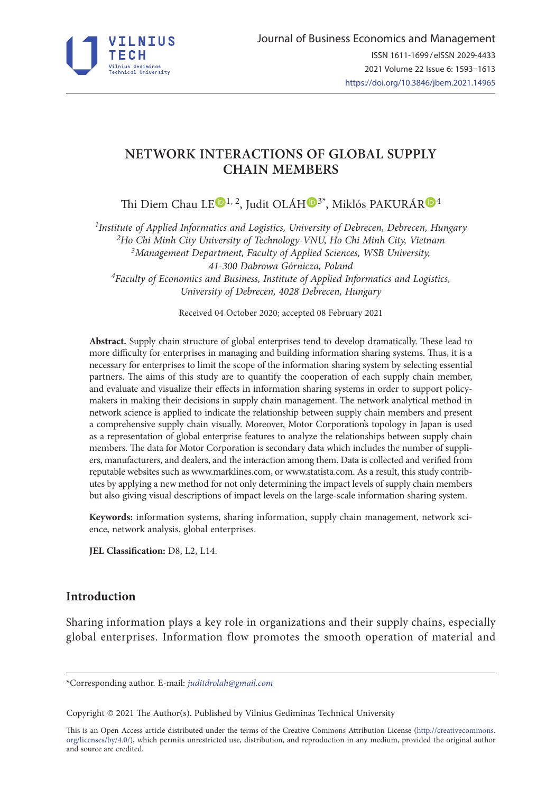

# **NETWORK INTERACTIONS OF GLOBAL SUPPLY CHAIN MEMBERS**

Thi Diem Chau L[E](https://orcid.org/0000-0003-4045-0981)<sup>D1, 2</sup>, Judit OLÁH<sup>D[3](https://orcid.org/0000-0003-2247-1711)\*</sup>, Miklós PAKU[R](https://orcid.org/0000-0001-8282-5986)ÁR<sup>D4</sup>

*1Institute of Applied Informatics and Logistics, University of Debrecen, Debrecen, Hungary 2Ho Chi Minh City University of Technology-VNU, Ho Chi Minh City, Vietnam 3Management Department, Faculty of Applied Sciences, WSB University, 41-300 Dabrowa Górnicza, Poland 4Faculty of Economics and Business, Institute of Applied Informatics and Logistics, University of Debrecen, 4028 Debrecen, Hungary* 

Received 04 October 2020; accepted 08 February 2021

**Abstract.** Supply chain structure of global enterprises tend to develop dramatically. These lead to more difficulty for enterprises in managing and building information sharing systems. Thus, it is a necessary for enterprises to limit the scope of the information sharing system by selecting essential partners. The aims of this study are to quantify the cooperation of each supply chain member, and evaluate and visualize their effects in information sharing systems in order to support policymakers in making their decisions in supply chain management. The network analytical method in network science is applied to indicate the relationship between supply chain members and present a comprehensive supply chain visually. Moreover, Motor Corporation's topology in Japan is used as a representation of global enterprise features to analyze the relationships between supply chain members. The data for Motor Corporation is secondary data which includes the number of suppliers, manufacturers, and dealers, and the interaction among them. Data is collected and verified from reputable websites such as www.marklines.com, or www.statista.com. As a result, this study contributes by applying a new method for not only determining the impact levels of supply chain members but also giving visual descriptions of impact levels on the large-scale information sharing system.

**Keywords:** information systems, sharing information, supply chain management, network science, network analysis, global enterprises.

**JEL Classification:** D8, L2, L14.

# **Introduction**

Sharing information plays a key role in organizations and their supply chains, especially global enterprises. Information flow promotes the smooth operation of material and

Copyright © 2021 The Author(s). Published by Vilnius Gediminas Technical University

This is an Open Access article distributed under the terms of the Creative Commons Attribution License ([http://creativecommons.](http://creativecommons.org/licenses/by/4.0/) [org/licenses/by/4.0/\)](http://creativecommons.org/licenses/by/4.0/), which permits unrestricted use, distribution, and reproduction in any medium, provided the original author and source are credited.

<sup>\*</sup>Corresponding author. E-mail: *[juditdrolah@gmail.com](mailto:juditdrolah@gmail.com)*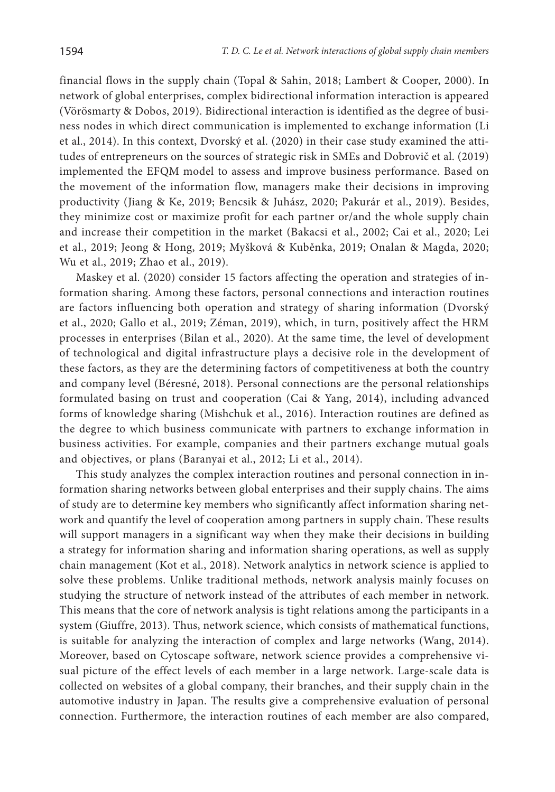financial flows in the supply chain (Topal & Sahin, 2018; Lambert & Cooper, 2000). In network of global enterprises, complex bidirectional information interaction is appeared (Vörösmarty & Dobos, 2019). Bidirectional interaction is identified as the degree of business nodes in which direct communication is implemented to exchange information (Li et al., 2014). In this context, Dvorský et al. (2020) in their case study examined the attitudes of entrepreneurs on the sources of strategic risk in SMEs and Dobrovič et al. (2019) implemented the EFQM model to assess and improve business performance. Based on the movement of the information flow, managers make their decisions in improving productivity (Jiang & Ke, 2019; Bencsik & Juhász, 2020; Pakurár et al., 2019). Besides, they minimize cost or maximize profit for each partner or/and the whole supply chain and increase their competition in the market (Bakacsi et al., 2002; Cai et al., 2020; Lei et al., 2019; Jeong & Hong, 2019; Myšková & Kuběnka, 2019; Onalan & Magda, 2020; Wu et al., 2019; Zhao et al., 2019).

Maskey et al. (2020) consider 15 factors affecting the operation and strategies of information sharing. Among these factors, personal connections and interaction routines are factors influencing both operation and strategy of sharing information (Dvorský et al., 2020; Gallo et al., 2019; Zéman, 2019), which, in turn, positively affect the HRM processes in enterprises (Bilan et al., 2020). At the same time, the level of development of technological and digital infrastructure plays a decisive role in the development of these factors, as they are the determining factors of competitiveness at both the country and company level (Béresné, 2018). Personal connections are the personal relationships formulated basing on trust and cooperation (Cai & Yang, 2014), including advanced forms of knowledge sharing (Mishchuk et al., 2016). Interaction routines are defined as the degree to which business communicate with partners to exchange information in business activities. For example, companies and their partners exchange mutual goals and objectives, or plans (Baranyai et al., 2012; Li et al., 2014).

This study analyzes the complex interaction routines and personal connection in information sharing networks between global enterprises and their supply chains. The aims of study are to determine key members who significantly affect information sharing network and quantify the level of cooperation among partners in supply chain. These results will support managers in a significant way when they make their decisions in building a strategy for information sharing and information sharing operations, as well as supply chain management (Kot et al., 2018). Network analytics in network science is applied to solve these problems. Unlike traditional methods, network analysis mainly focuses on studying the structure of network instead of the attributes of each member in network. This means that the core of network analysis is tight relations among the participants in a system (Giuffre, 2013). Thus, network science, which consists of mathematical functions, is suitable for analyzing the interaction of complex and large networks (Wang, 2014). Moreover, based on Cytoscape software, network science provides a comprehensive visual picture of the effect levels of each member in a large network. Large-scale data is collected on websites of a global company, their branches, and their supply chain in the automotive industry in Japan. The results give a comprehensive evaluation of personal connection. Furthermore, the interaction routines of each member are also compared,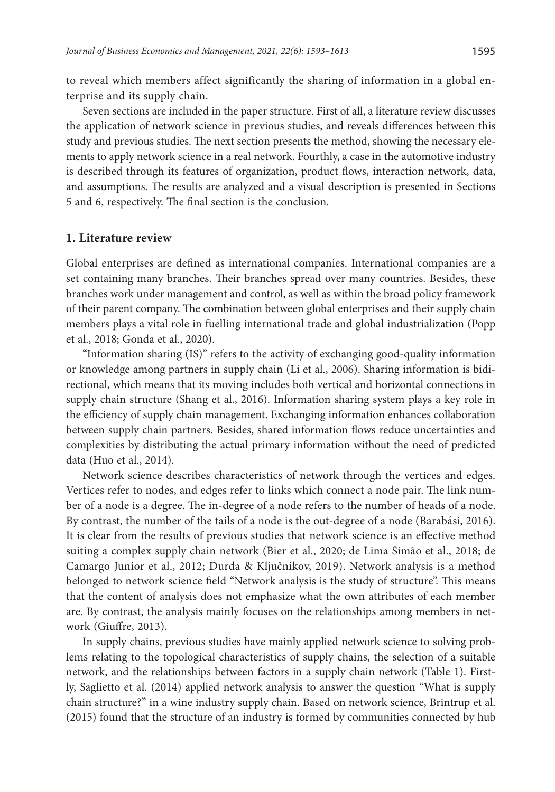to reveal which members affect significantly the sharing of information in a global enterprise and its supply chain.

Seven sections are included in the paper structure. First of all, a literature review discusses the application of network science in previous studies, and reveals differences between this study and previous studies. The next section presents the method, showing the necessary elements to apply network science in a real network. Fourthly, a case in the automotive industry is described through its features of organization, product flows, interaction network, data, and assumptions. The results are analyzed and a visual description is presented in Sections 5 and 6, respectively. The final section is the conclusion.

#### **1. Literature review**

Global enterprises are defined as international companies. International companies are a set containing many branches. Their branches spread over many countries. Besides, these branches work under management and control, as well as within the broad policy framework of their parent company. The combination between global enterprises and their supply chain members plays a vital role in fuelling international trade and global industrialization (Popp et al., 2018; Gonda et al., 2020).

"Information sharing (IS)" refers to the activity of exchanging good-quality information or knowledge among partners in supply chain (Li et al., 2006). Sharing information is bidirectional, which means that its moving includes both vertical and horizontal connections in supply chain structure (Shang et al., 2016). Information sharing system plays a key role in the efficiency of supply chain management. Exchanging information enhances collaboration between supply chain partners. Besides, shared information flows reduce uncertainties and complexities by distributing the actual primary information without the need of predicted data (Huo et al., 2014).

Network science describes characteristics of network through the vertices and edges. Vertices refer to nodes, and edges refer to links which connect a node pair. The link number of a node is a degree. The in-degree of a node refers to the number of heads of a node. By contrast, the number of the tails of a node is the out-degree of a node (Barabási, 2016). It is clear from the results of previous studies that network science is an effective method suiting a complex supply chain network (Bier et al., 2020; de Lima Simão et al., 2018; de Camargo Junior et al., 2012; Durda & Ključnikov, 2019). Network analysis is a method belonged to network science field "Network analysis is the study of structure". This means that the content of analysis does not emphasize what the own attributes of each member are. By contrast, the analysis mainly focuses on the relationships among members in network (Giuffre, 2013).

In supply chains, previous studies have mainly applied network science to solving problems relating to the topological characteristics of supply chains, the selection of a suitable network, and the relationships between factors in a supply chain network (Table 1). Firstly, Saglietto et al. (2014) applied network analysis to answer the question "What is supply chain structure?" in a wine industry supply chain. Based on network science, Brintrup et al. (2015) found that the structure of an industry is formed by communities connected by hub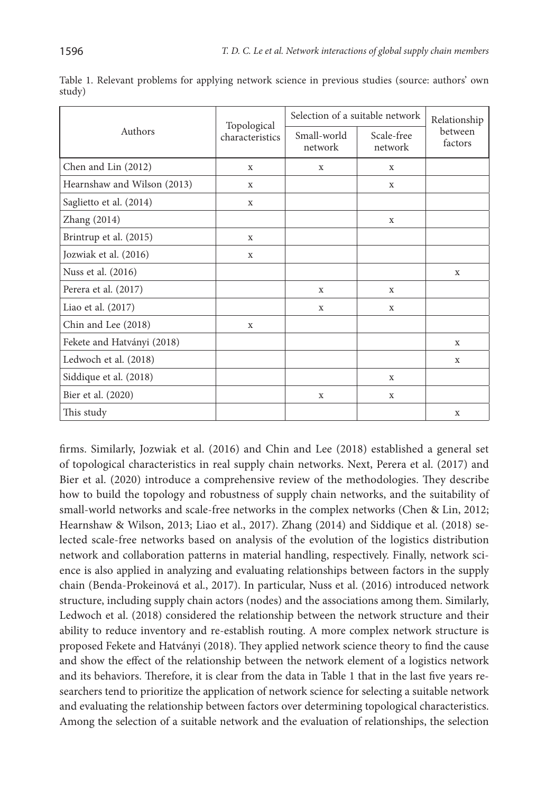|                             |                                | Selection of a suitable network |                       | Relationship       |
|-----------------------------|--------------------------------|---------------------------------|-----------------------|--------------------|
| Authors                     | Topological<br>characteristics | Small-world<br>network          | Scale-free<br>network | between<br>factors |
| Chen and Lin (2012)         | X                              | $\mathbf x$                     | $\mathbf x$           |                    |
| Hearnshaw and Wilson (2013) | X                              |                                 | $\mathbf x$           |                    |
| Saglietto et al. (2014)     | $\mathbf x$                    |                                 |                       |                    |
| Zhang (2014)                |                                |                                 | X                     |                    |
| Brintrup et al. (2015)      | $\mathbf x$                    |                                 |                       |                    |
| Jozwiak et al. (2016)       | X                              |                                 |                       |                    |
| Nuss et al. (2016)          |                                |                                 |                       | X                  |
| Perera et al. (2017)        |                                | $\mathbf X$                     | X                     |                    |
| Liao et al. (2017)          |                                | X                               | X                     |                    |
| Chin and Lee (2018)         | $\mathbf X$                    |                                 |                       |                    |
| Fekete and Hatványi (2018)  |                                |                                 |                       | X                  |
| Ledwoch et al. (2018)       |                                |                                 |                       | X                  |
| Siddique et al. (2018)      |                                |                                 | X                     |                    |
| Bier et al. (2020)          |                                | X                               | $\mathbf X$           |                    |
| This study                  |                                |                                 |                       | X                  |

Table 1. Relevant problems for applying network science in previous studies (source: authors' own study)

firms. Similarly, Jozwiak et al. (2016) and Chin and Lee (2018) established a general set of topological characteristics in real supply chain networks. Next, Perera et al. (2017) and Bier et al. (2020) introduce a comprehensive review of the methodologies. They describe how to build the topology and robustness of supply chain networks, and the suitability of small-world networks and scale-free networks in the complex networks (Chen & Lin, 2012; Hearnshaw & Wilson, 2013; Liao et al., 2017). Zhang (2014) and Siddique et al. (2018) selected scale-free networks based on analysis of the evolution of the logistics distribution network and collaboration patterns in material handling, respectively. Finally, network science is also applied in analyzing and evaluating relationships between factors in the supply chain (Benda-Prokeinová et al., 2017). In particular, Nuss et al. (2016) introduced network structure, including supply chain actors (nodes) and the associations among them. Similarly, Ledwoch et al. (2018) considered the relationship between the network structure and their ability to reduce inventory and re-establish routing. A more complex network structure is proposed Fekete and Hatványi (2018). They applied network science theory to find the cause and show the effect of the relationship between the network element of a logistics network and its behaviors. Therefore, it is clear from the data in Table 1 that in the last five years researchers tend to prioritize the application of network science for selecting a suitable network and evaluating the relationship between factors over determining topological characteristics. Among the selection of a suitable network and the evaluation of relationships, the selection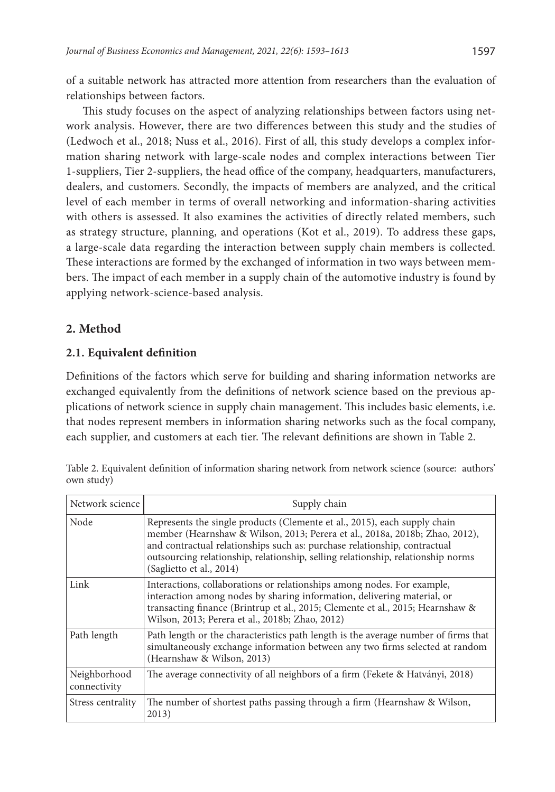of a suitable network has attracted more attention from researchers than the evaluation of relationships between factors.

This study focuses on the aspect of analyzing relationships between factors using network analysis. However, there are two differences between this study and the studies of (Ledwoch et al., 2018; Nuss et al., 2016). First of all, this study develops a complex information sharing network with large-scale nodes and complex interactions between Tier 1-suppliers, Tier 2-suppliers, the head office of the company, headquarters, manufacturers, dealers, and customers. Secondly, the impacts of members are analyzed, and the critical level of each member in terms of overall networking and information-sharing activities with others is assessed. It also examines the activities of directly related members, such as strategy structure, planning, and operations (Kot et al., 2019). To address these gaps, a large-scale data regarding the interaction between supply chain members is collected. These interactions are formed by the exchanged of information in two ways between members. The impact of each member in a supply chain of the automotive industry is found by applying network-science-based analysis.

# **2. Method**

# **2.1. Equivalent definition**

Definitions of the factors which serve for building and sharing information networks are exchanged equivalently from the definitions of network science based on the previous applications of network science in supply chain management. This includes basic elements, i.e. that nodes represent members in information sharing networks such as the focal company, each supplier, and customers at each tier. The relevant definitions are shown in Table 2.

| Network science              | Supply chain                                                                                                                                                                                                                                                                                                                                          |
|------------------------------|-------------------------------------------------------------------------------------------------------------------------------------------------------------------------------------------------------------------------------------------------------------------------------------------------------------------------------------------------------|
| Node                         | Represents the single products (Clemente et al., 2015), each supply chain<br>member (Hearnshaw & Wilson, 2013; Perera et al., 2018a, 2018b; Zhao, 2012),<br>and contractual relationships such as: purchase relationship, contractual<br>outsourcing relationship, relationship, selling relationship, relationship norms<br>(Saglietto et al., 2014) |
| Link                         | Interactions, collaborations or relationships among nodes. For example,<br>interaction among nodes by sharing information, delivering material, or<br>transacting finance (Brintrup et al., 2015; Clemente et al., 2015; Hearnshaw &<br>Wilson, 2013; Perera et al., 2018b; Zhao, 2012)                                                               |
| Path length                  | Path length or the characteristics path length is the average number of firms that<br>simultaneously exchange information between any two firms selected at random<br>(Hearnshaw & Wilson, 2013)                                                                                                                                                      |
| Neighborhood<br>connectivity | The average connectivity of all neighbors of a firm (Fekete & Hatványi, 2018)                                                                                                                                                                                                                                                                         |
| Stress centrality            | The number of shortest paths passing through a firm (Hearnshaw & Wilson,<br>2013)                                                                                                                                                                                                                                                                     |

Table 2. Equivalent definition of information sharing network from network science (source: authors' own study)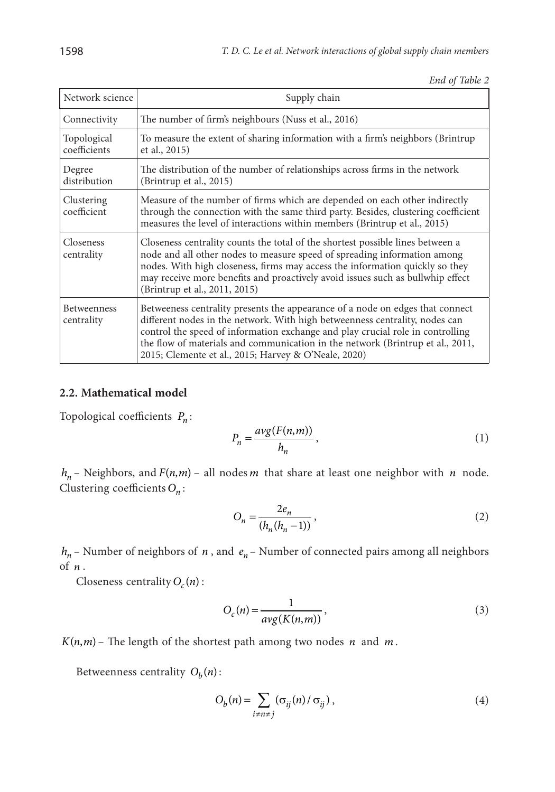*End of Table 2*

| Network science             | Supply chain                                                                                                                                                                                                                                                                                                                                                                             |
|-----------------------------|------------------------------------------------------------------------------------------------------------------------------------------------------------------------------------------------------------------------------------------------------------------------------------------------------------------------------------------------------------------------------------------|
| Connectivity                | The number of firm's neighbours (Nuss et al., 2016)                                                                                                                                                                                                                                                                                                                                      |
| Topological<br>coefficients | To measure the extent of sharing information with a firm's neighbors (Brintrup<br>et al., 2015)                                                                                                                                                                                                                                                                                          |
| Degree<br>distribution      | The distribution of the number of relationships across firms in the network<br>(Brintrup et al., 2015)                                                                                                                                                                                                                                                                                   |
| Clustering<br>coefficient   | Measure of the number of firms which are depended on each other indirectly<br>through the connection with the same third party. Besides, clustering coefficient<br>measures the level of interactions within members (Brintrup et al., 2015)                                                                                                                                             |
| Closeness<br>centrality     | Closeness centrality counts the total of the shortest possible lines between a<br>node and all other nodes to measure speed of spreading information among<br>nodes. With high closeness, firms may access the information quickly so they<br>may receive more benefits and proactively avoid issues such as bullwhip effect<br>(Brintrup et al., 2011, 2015)                            |
| Betweenness<br>centrality   | Betweeness centrality presents the appearance of a node on edges that connect<br>different nodes in the network. With high betweenness centrality, nodes can<br>control the speed of information exchange and play crucial role in controlling<br>the flow of materials and communication in the network (Brintrup et al., 2011,<br>2015; Clemente et al., 2015; Harvey & O'Neale, 2020) |

# **2.2. Mathematical model**

Topological coefficients  $P_n$ :

$$
P_n = \frac{avg(F(n,m))}{h_n},\tag{1}
$$

 $h_n$  – Neighbors, and  $F(n,m)$  – all nodes *m* that share at least one neighbor with *n* node. Clustering coefficients *On* :

$$
O_n = \frac{2e_n}{(h_n(h_n - 1))},
$$
\n(2)

 $h_n$  – Number of neighbors of *n*, and  $e_n$  – Number of connected pairs among all neighbors of *n* .

Closeness centrality  $O_c(n)$  :

$$
O_c(n) = \frac{1}{avg(K(n,m))},\tag{3}
$$

 $K(n, m)$  – The length of the shortest path among two nodes *n* and *m*.

Betweenness centrality  $O_h(n)$ :

$$
O_b(n) = \sum_{i \neq n \neq j} (\sigma_{ij}(n) / \sigma_{ij}),
$$
\n(4)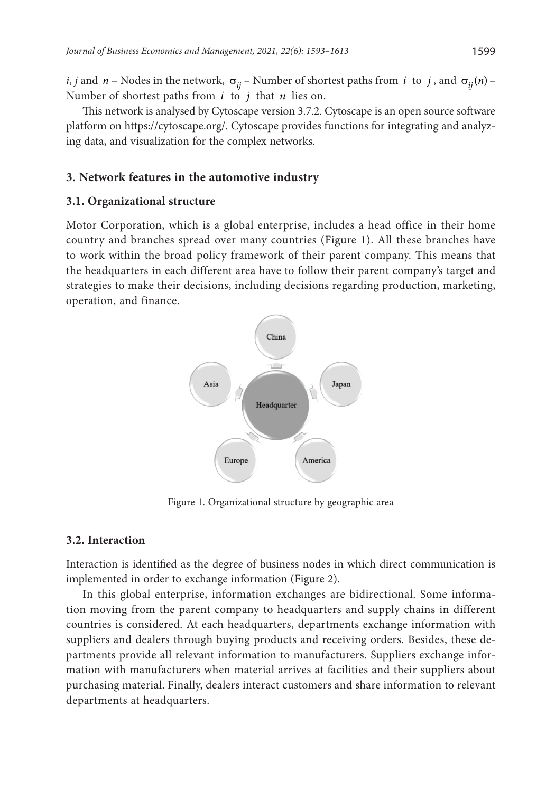*i*, *j* and *n* – Nodes in the network,  $\sigma_{ii}$  – Number of shortest paths from *i* to *j*, and  $\sigma_{ii}(n)$  –

Number of shortest paths from *i* to *j* that *n* lies on.

This network is analysed by Cytoscape version 3.7.2. Cytoscape is an open source software platform on <https://cytoscape.org/>. Cytoscape provides functions for integrating and analyzing data, and visualization for the complex networks.

### **3. Network features in the automotive industry**

#### **3.1. Organizational structure**

Motor Corporation, which is a global enterprise, includes a head office in their home country and branches spread over many countries (Figure 1). All these branches have to work within the broad policy framework of their parent company. This means that the headquarters in each different area have to follow their parent company's target and strategies to make their decisions, including decisions regarding production, marketing, operation, and finance.



Figure 1. Organizational structure by geographic area

#### **3.2. Interaction**

Interaction is identified as the degree of business nodes in which direct communication is implemented in order to exchange information (Figure 2).

In this global enterprise, information exchanges are bidirectional. Some information moving from the parent company to headquarters and supply chains in different countries is considered. At each headquarters, departments exchange information with suppliers and dealers through buying products and receiving orders. Besides, these departments provide all relevant information to manufacturers. Suppliers exchange information with manufacturers when material arrives at facilities and their suppliers about purchasing material. Finally, dealers interact customers and share information to relevant departments at headquarters.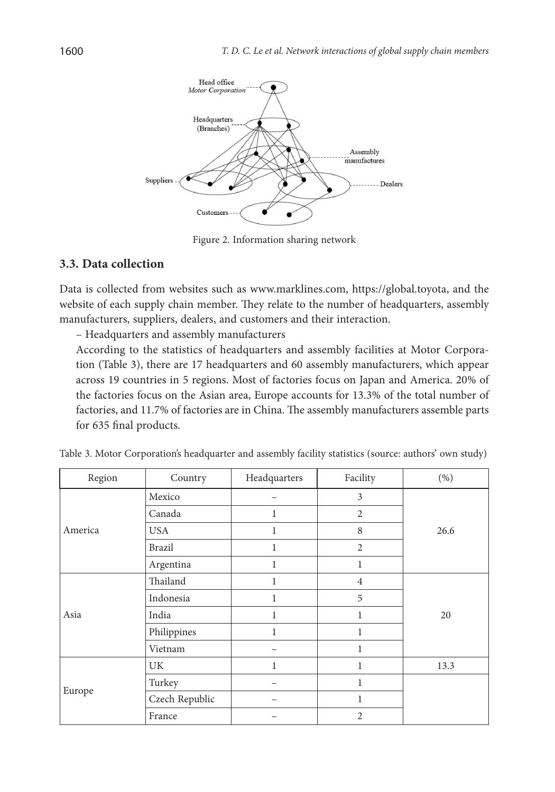

Figure 2. Information sharing network

# **3.3. Data collection**

Data is collected from websites such as www.marklines.com, https://global.toyota, and the website of each supply chain member. They relate to the number of headquarters, assembly manufacturers, suppliers, dealers, and customers and their interaction.

– Headquarters and assembly manufacturers

According to the statistics of headquarters and assembly facilities at Motor Corporation (Table 3), there are 17 headquarters and 60 assembly manufacturers, which appear across 19 countries in 5 regions. Most of factories focus on Japan and America. 20% of the factories focus on the Asian area, Europe accounts for 13.3% of the total number of factories, and 11.7% of factories are in China. The assembly manufacturers assemble parts for 635 final products.

| Region  | Country        | Headquarters | Facility       | $(\% )$ |
|---------|----------------|--------------|----------------|---------|
|         | Mexico         |              | 3              |         |
|         | Canada         | 1            | $\overline{2}$ |         |
| America | <b>USA</b>     | 1            | 8              | 26.6    |
|         | Brazil         | 1            | $\overline{2}$ |         |
|         | Argentina      | 1            | $\mathbf{1}$   |         |
| Asia    | Thailand       | 1            | $\overline{4}$ |         |
|         | Indonesia      | 1            | 5              |         |
|         | India          | 1            | 1              | 20      |
|         | Philippines    | 1            | 1              |         |
|         | Vietnam        |              | 1              |         |
|         | <b>UK</b>      | 1            | 1              | 13.3    |
|         | Turkey         |              | 1              |         |
| Europe  | Czech Republic |              | 1              |         |
|         | France         |              | $\overline{2}$ |         |

Table 3. Motor Corporation's headquarter and assembly facility statistics (source: authors' own study)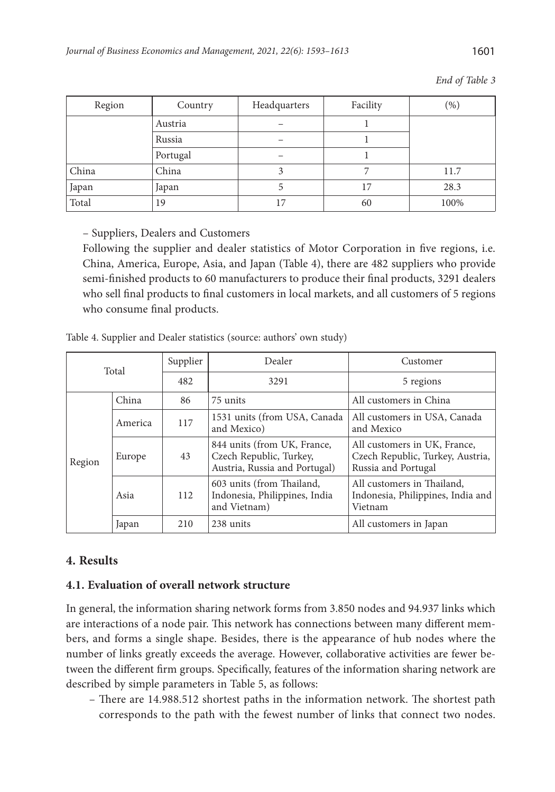| Region | Country  | Headquarters | Facility | $(\%)$ |
|--------|----------|--------------|----------|--------|
|        | Austria  |              |          |        |
|        | Russia   |              |          |        |
|        | Portugal |              |          |        |
| China  | China    |              |          | 11.7   |
| Japan  | Japan    |              | 17       | 28.3   |
| Total  | 19       | 17           | 60       | 100%   |

*End of Table 3*

– Suppliers, Dealers and Customers

Following the supplier and dealer statistics of Motor Corporation in five regions, i.e. China, America, Europe, Asia, and Japan (Table 4), there are 482 suppliers who provide semi-finished products to 60 manufacturers to produce their final products, 3291 dealers who sell final products to final customers in local markets, and all customers of 5 regions who consume final products.

|        | Total   | Supplier | Dealer                                                                                  | Customer                                                                                |  |
|--------|---------|----------|-----------------------------------------------------------------------------------------|-----------------------------------------------------------------------------------------|--|
|        |         | 482      | 3291                                                                                    | 5 regions                                                                               |  |
|        | China   | 86       | 75 units                                                                                | All customers in China                                                                  |  |
|        | America | 117      | 1531 units (from USA, Canada)<br>and Mexico)                                            | All customers in USA, Canada<br>and Mexico                                              |  |
| Region | Europe  | 43       | 844 units (from UK, France,<br>Czech Republic, Turkey,<br>Austria, Russia and Portugal) | All customers in UK, France,<br>Czech Republic, Turkey, Austria,<br>Russia and Portugal |  |
|        | Asia    | 112      | 603 units (from Thailand,<br>Indonesia, Philippines, India<br>and Vietnam)              | All customers in Thailand,<br>Indonesia, Philippines, India and<br>Vietnam              |  |
|        | Japan   | 210      | 238 units                                                                               | All customers in Japan                                                                  |  |

Table 4. Supplier and Dealer statistics (source: authors' own study)

# **4. Results**

## **4.1. Evaluation of overall network structure**

In general, the information sharing network forms from 3.850 nodes and 94.937 links which are interactions of a node pair. This network has connections between many different members, and forms a single shape. Besides, there is the appearance of hub nodes where the number of links greatly exceeds the average. However, collaborative activities are fewer between the different firm groups. Specifically, features of the information sharing network are described by simple parameters in Table 5, as follows:

– There are 14.988.512 shortest paths in the information network. The shortest path corresponds to the path with the fewest number of links that connect two nodes.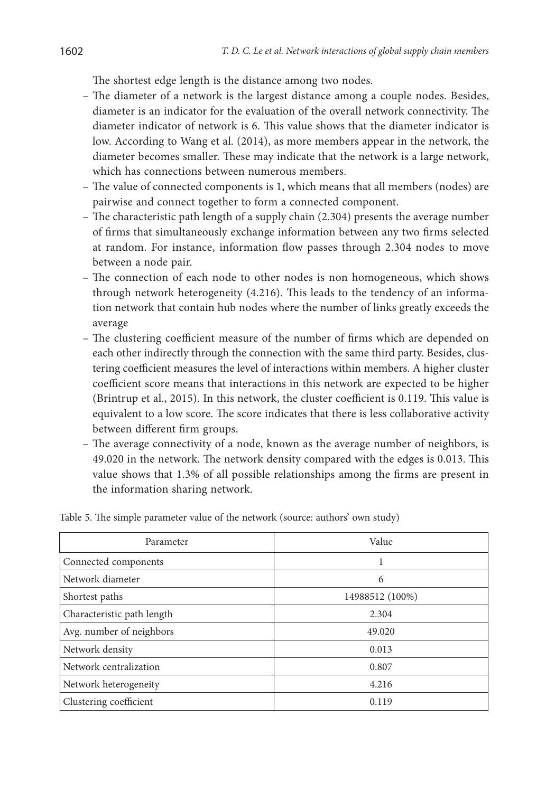The shortest edge length is the distance among two nodes.

- The diameter of a network is the largest distance among a couple nodes. Besides, diameter is an indicator for the evaluation of the overall network connectivity. The diameter indicator of network is 6. This value shows that the diameter indicator is low. According to Wang et al. (2014), as more members appear in the network, the diameter becomes smaller. These may indicate that the network is a large network, which has connections between numerous members.
- The value of connected components is 1, which means that all members (nodes) are pairwise and connect together to form a connected component.
- The characteristic path length of a supply chain (2.304) presents the average number of firms that simultaneously exchange information between any two firms selected at random. For instance, information flow passes through 2.304 nodes to move between a node pair.
- The connection of each node to other nodes is non homogeneous, which shows through network heterogeneity (4.216). This leads to the tendency of an information network that contain hub nodes where the number of links greatly exceeds the average
- The clustering coefficient measure of the number of firms which are depended on each other indirectly through the connection with the same third party. Besides, clustering coefficient measures the level of interactions within members. A higher cluster coefficient score means that interactions in this network are expected to be higher (Brintrup et al., 2015). In this network, the cluster coefficient is 0.119. This value is equivalent to a low score. The score indicates that there is less collaborative activity between different firm groups.
- The average connectivity of a node, known as the average number of neighbors, is 49.020 in the network. The network density compared with the edges is 0.013. This value shows that 1.3% of all possible relationships among the firms are present in the information sharing network.

| Parameter                  | Value           |
|----------------------------|-----------------|
| Connected components       | 1               |
| Network diameter           | 6               |
| Shortest paths             | 14988512 (100%) |
| Characteristic path length | 2.304           |
| Avg. number of neighbors   | 49.020          |
| Network density            | 0.013           |
| Network centralization     | 0.807           |
| Network heterogeneity      | 4.216           |
| Clustering coefficient     | 0.119           |

Table 5. The simple parameter value of the network (source: authors' own study)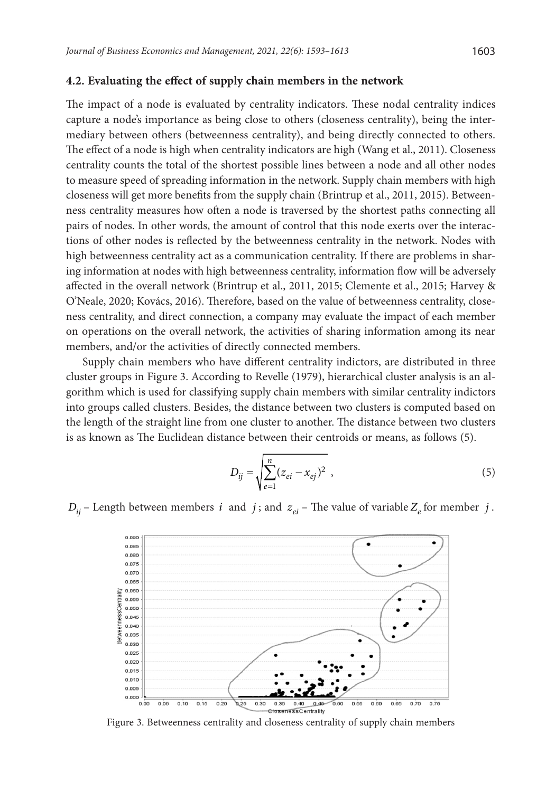#### **4.2. Evaluating the effect of supply chain members in the network**

The impact of a node is evaluated by centrality indicators. These nodal centrality indices capture a node's importance as being close to others (closeness centrality), being the intermediary between others (betweenness centrality), and being directly connected to others. The effect of a node is high when centrality indicators are high (Wang et al., 2011). Closeness centrality counts the total of the shortest possible lines between a node and all other nodes to measure speed of spreading information in the network. Supply chain members with high closeness will get more benefits from the supply chain (Brintrup et al., 2011, 2015). Betweenness centrality measures how often a node is traversed by the shortest paths connecting all pairs of nodes. In other words, the amount of control that this node exerts over the interactions of other nodes is reflected by the betweenness centrality in the network. Nodes with high betweenness centrality act as a communication centrality. If there are problems in sharing information at nodes with high betweenness centrality, information flow will be adversely affected in the overall network (Brintrup et al., 2011, 2015; Clemente et al., 2015; Harvey & O'Neale, 2020; Kovács, 2016). Therefore, based on the value of betweenness centrality, closeness centrality, and direct connection, a company may evaluate the impact of each member on operations on the overall network, the activities of sharing information among its near members, and/or the activities of directly connected members.

Supply chain members who have different centrality indictors, are distributed in three cluster groups in Figure 3. According to Revelle (1979), hierarchical cluster analysis is an algorithm which is used for classifying supply chain members with similar centrality indictors into groups called clusters. Besides, the distance between two clusters is computed based on the length of the straight line from one cluster to another. The distance between two clusters is as known as The Euclidean distance between their centroids or means, as follows (5).

$$
D_{ij} = \sqrt{\sum_{e=1}^{n} (z_{ei} - x_{ej})^2},
$$
\n(5)

 $D_{ii}$  – Length between members *i* and *j*; and  $z_{ei}$  – The value of variable  $Z_e$  for member *j*.



Figure 3. Betweenness centrality and closeness centrality of supply chain members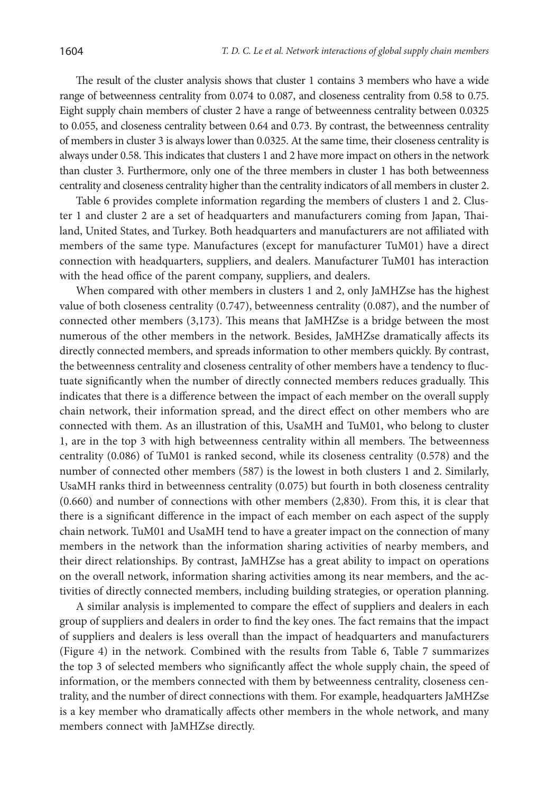The result of the cluster analysis shows that cluster 1 contains 3 members who have a wide range of betweenness centrality from 0.074 to 0.087, and closeness centrality from 0.58 to 0.75. Eight supply chain members of cluster 2 have a range of betweenness centrality between 0.0325 to 0.055, and closeness centrality between 0.64 and 0.73. By contrast, the betweenness centrality of members in cluster 3 is always lower than 0.0325. At the same time, their closeness centrality is always under 0.58. This indicates that clusters 1 and 2 have more impact on others in the network than cluster 3. Furthermore, only one of the three members in cluster 1 has both betweenness centrality and closeness centrality higher than the centrality indicators of all members in cluster 2.

Table 6 provides complete information regarding the members of clusters 1 and 2. Cluster 1 and cluster 2 are a set of headquarters and manufacturers coming from Japan, Thailand, United States, and Turkey. Both headquarters and manufacturers are not affiliated with members of the same type. Manufactures (except for manufacturer TuM01) have a direct connection with headquarters, suppliers, and dealers. Manufacturer TuM01 has interaction with the head office of the parent company, suppliers, and dealers.

When compared with other members in clusters 1 and 2, only JaMHZse has the highest value of both closeness centrality (0.747), betweenness centrality (0.087), and the number of connected other members (3,173). This means that JaMHZse is a bridge between the most numerous of the other members in the network. Besides, JaMHZse dramatically affects its directly connected members, and spreads information to other members quickly. By contrast, the betweenness centrality and closeness centrality of other members have a tendency to fluctuate significantly when the number of directly connected members reduces gradually. This indicates that there is a difference between the impact of each member on the overall supply chain network, their information spread, and the direct effect on other members who are connected with them. As an illustration of this, UsaMH and TuM01, who belong to cluster 1, are in the top 3 with high betweenness centrality within all members. The betweenness centrality (0.086) of TuM01 is ranked second, while its closeness centrality (0.578) and the number of connected other members (587) is the lowest in both clusters 1 and 2. Similarly, UsaMH ranks third in betweenness centrality (0.075) but fourth in both closeness centrality (0.660) and number of connections with other members (2,830). From this, it is clear that there is a significant difference in the impact of each member on each aspect of the supply chain network. TuM01 and UsaMH tend to have a greater impact on the connection of many members in the network than the information sharing activities of nearby members, and their direct relationships. By contrast, JaMHZse has a great ability to impact on operations on the overall network, information sharing activities among its near members, and the activities of directly connected members, including building strategies, or operation planning.

A similar analysis is implemented to compare the effect of suppliers and dealers in each group of suppliers and dealers in order to find the key ones. The fact remains that the impact of suppliers and dealers is less overall than the impact of headquarters and manufacturers (Figure 4) in the network. Combined with the results from Table 6, Table 7 summarizes the top 3 of selected members who significantly affect the whole supply chain, the speed of information, or the members connected with them by betweenness centrality, closeness centrality, and the number of direct connections with them. For example, headquarters JaMHZse is a key member who dramatically affects other members in the whole network, and many members connect with JaMHZse directly.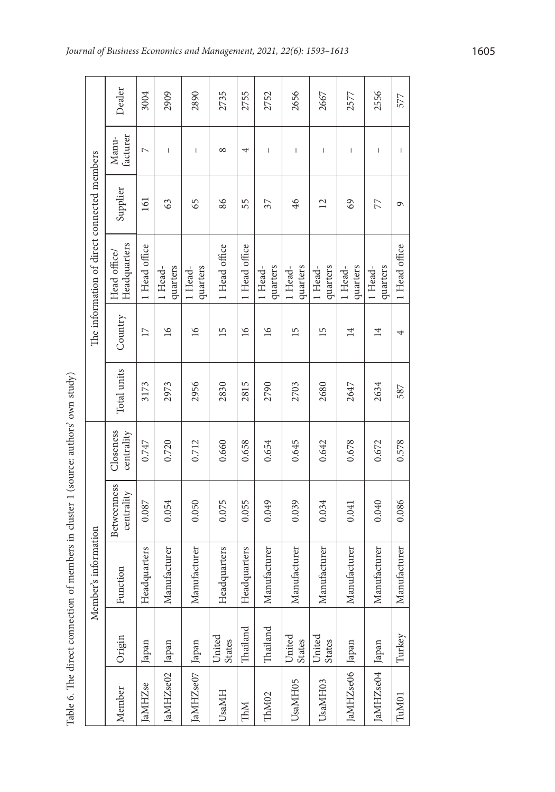|                    | Table 6. The direct connection |                      | of members in cluster 1 (source: authors' own study) |                         |             |                 |                                             |                 |                                       |        |
|--------------------|--------------------------------|----------------------|------------------------------------------------------|-------------------------|-------------|-----------------|---------------------------------------------|-----------------|---------------------------------------|--------|
|                    |                                | Member's information |                                                      |                         |             |                 | The information of direct connected members |                 |                                       |        |
| Member             | Origin                         | Function             | <b>Betweenness</b><br>centrality                     | Closeness<br>centrality | Total units | Country         | Headquarters<br>Head office/                | Supplier        | facturer<br>Manu-                     | Dealer |
| aMHZ <sub>se</sub> | Japan                          | eadquarters<br>Ě     | 0.087                                                | 0.747                   | 3173        | $\overline{17}$ | 1 Head office                               | 161             | $\overline{a}$                        | 3004   |
| JaMHZse02          | Japan                          | Manufacturer         | 0.054                                                | 0.720                   | 2973        | $\geq$          | quarters<br>1 Head-                         | 63              | $\mathsf I$                           | 2909   |
| JaMHZse07          | Japan                          | Manufacturer         | 0.050                                                | 0.712                   | 2956        | $\geq$          | quarters<br>1 Head-                         | 65              | $\mathsf I$                           | 2890   |
| UsaMH              | United<br><b>States</b>        | eadquarters<br>Ě     | 0.075                                                | 0.660                   | 2830        | 15              | 1 Head office                               | 86              | $^{\circ}$                            | 2735   |
| IMM                | Thailand                       | eadquarters<br>Ĕ     | 0.055                                                | 0.658                   | 2815        | $\geq$          | 1 Head office                               | 55              | 4                                     | 2755   |
| ThM02              | Thailand                       | Manufacturer         | 0.049                                                | 0.654                   | 2790        | $\geq$          | quarters<br>1 Head-                         | 37              | $\overline{\phantom{a}}$              | 2752   |
| UsaMH05            | United<br><b>States</b>        | Manufacturer         | 0.039                                                | 0.645                   | 2703        | $\overline{15}$ | quarters<br>1 Head-                         | 46              | $\overline{\phantom{a}}$              | 2656   |
| UsaMH03            | United<br><b>States</b>        | Manufacturer         | 0.034                                                | 0.642                   | 2680        | $\overline{15}$ | quarters<br>1 Head-                         | $\overline{12}$ | $\mathsf I$                           | 2667   |
| JaMHZse06          | Japan                          | Manufacturer         | 0.041                                                | 0.678                   | 2647        | $\overline{14}$ | quarters<br>1 Head-                         | 69              | $\overline{\phantom{a}}$              | 2577   |
| JaMHZse04          | Japan                          | Manufacturer         | 0.040                                                | 0.672                   | 2634        | 14              | quarters<br>1 Head-                         | 77              | $\begin{array}{c} \hline \end{array}$ | 2556   |
| TuM01              | Turkey                         | Manufacturer         | 0.086                                                | 0.578                   | 587         | 4               | 1 Head office                               | $\sigma$        | $\overline{\phantom{a}}$              | 577    |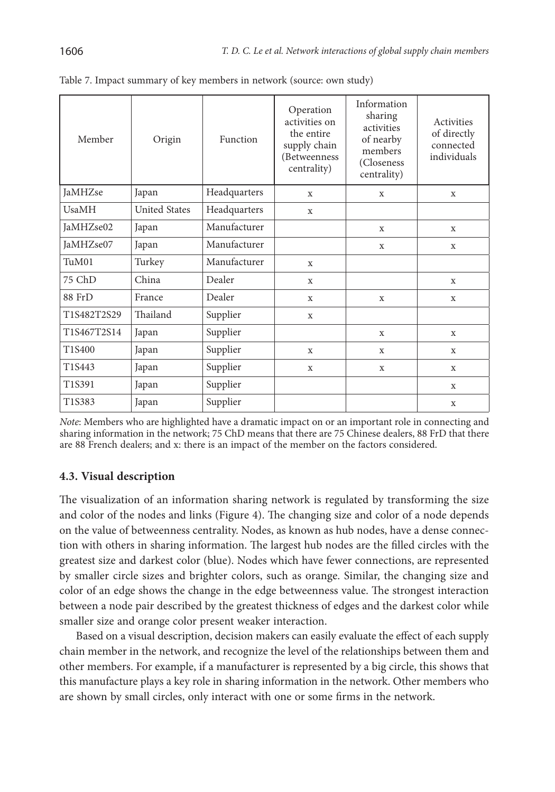| Member       | Origin               | Function     | Operation<br>activities on<br>the entire<br>supply chain<br>(Betweenness<br>centrality) | Information<br>sharing<br>activities<br>of nearby<br>members<br>(Closeness)<br>centrality) | Activities<br>of directly<br>connected<br>individuals |
|--------------|----------------------|--------------|-----------------------------------------------------------------------------------------|--------------------------------------------------------------------------------------------|-------------------------------------------------------|
| JaMHZse      | Japan                | Headquarters | X                                                                                       | X                                                                                          | $\mathbf x$                                           |
| <b>UsaMH</b> | <b>United States</b> | Headquarters | $\mathbf x$                                                                             |                                                                                            |                                                       |
| JaMHZse02    | Japan                | Manufacturer |                                                                                         | $\mathbf X$                                                                                | X                                                     |
| JaMHZse07    | Japan                | Manufacturer |                                                                                         | X                                                                                          | X                                                     |
| TuM01        | Turkey               | Manufacturer | $\mathbf x$                                                                             |                                                                                            |                                                       |
| 75 ChD       | China                | Dealer       | $\mathbf x$                                                                             |                                                                                            | $\mathbf x$                                           |
| 88 FrD       | France               | Dealer       | X                                                                                       | X                                                                                          | X                                                     |
| T1S482T2S29  | Thailand             | Supplier     | $\mathbf{x}$                                                                            |                                                                                            |                                                       |
| T1S467T2S14  | Japan                | Supplier     |                                                                                         | X                                                                                          | $\mathbf x$                                           |
| T1S400       | Japan                | Supplier     | X                                                                                       | X                                                                                          | X                                                     |
| T1S443       | Japan                | Supplier     | X                                                                                       | X                                                                                          | X                                                     |
| T1S391       | Japan                | Supplier     |                                                                                         |                                                                                            | X                                                     |
| T1S383       | Japan                | Supplier     |                                                                                         |                                                                                            | X                                                     |

| Table 7. Impact summary of key members in network (source: own study) |  |  |  |  |
|-----------------------------------------------------------------------|--|--|--|--|
|-----------------------------------------------------------------------|--|--|--|--|

*Note*: Members who are highlighted have a dramatic impact on or an important role in connecting and sharing information in the network; 75 ChD means that there are 75 Chinese dealers, 88 FrD that there are 88 French dealers; and x: there is an impact of the member on the factors considered.

#### **4.3. Visual description**

The visualization of an information sharing network is regulated by transforming the size and color of the nodes and links (Figure 4). The changing size and color of a node depends on the value of betweenness centrality. Nodes, as known as hub nodes, have a dense connection with others in sharing information. The largest hub nodes are the filled circles with the greatest size and darkest color (blue). Nodes which have fewer connections, are represented by smaller circle sizes and brighter colors, such as orange. Similar, the changing size and color of an edge shows the change in the edge betweenness value. The strongest interaction between a node pair described by the greatest thickness of edges and the darkest color while smaller size and orange color present weaker interaction.

Based on a visual description, decision makers can easily evaluate the effect of each supply chain member in the network, and recognize the level of the relationships between them and other members. For example, if a manufacturer is represented by a big circle, this shows that this manufacture plays a key role in sharing information in the network. Other members who are shown by small circles, only interact with one or some firms in the network.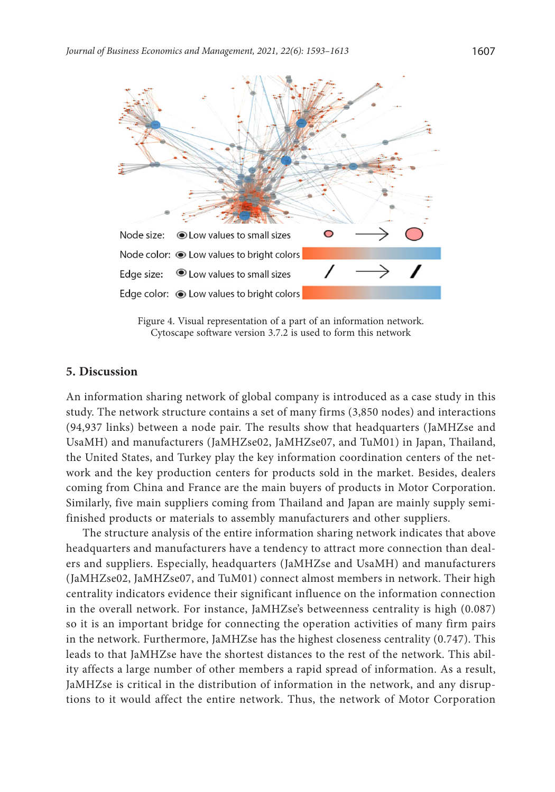

Figure 4. Visual representation of a part of an information network. Cytoscape software version 3.7.2 is used to form this network

## **5. Discussion**

An information sharing network of global company is introduced as a case study in this study. The network structure contains a set of many firms (3,850 nodes) and interactions (94,937 links) between a node pair. The results show that headquarters (JaMHZse and UsaMH) and manufacturers (JaMHZse02, JaMHZse07, and TuM01) in Japan, Thailand, the United States, and Turkey play the key information coordination centers of the network and the key production centers for products sold in the market. Besides, dealers coming from China and France are the main buyers of products in Motor Corporation. Similarly, five main suppliers coming from Thailand and Japan are mainly supply semifinished products or materials to assembly manufacturers and other suppliers.

The structure analysis of the entire information sharing network indicates that above headquarters and manufacturers have a tendency to attract more connection than dealers and suppliers. Especially, headquarters (JaMHZse and UsaMH) and manufacturers (JaMHZse02, JaMHZse07, and TuM01) connect almost members in network. Their high centrality indicators evidence their significant influence on the information connection in the overall network. For instance, JaMHZse's betweenness centrality is high (0.087) so it is an important bridge for connecting the operation activities of many firm pairs in the network. Furthermore, JaMHZse has the highest closeness centrality (0.747). This leads to that JaMHZse have the shortest distances to the rest of the network. This ability affects a large number of other members a rapid spread of information. As a result, JaMHZse is critical in the distribution of information in the network, and any disruptions to it would affect the entire network. Thus, the network of Motor Corporation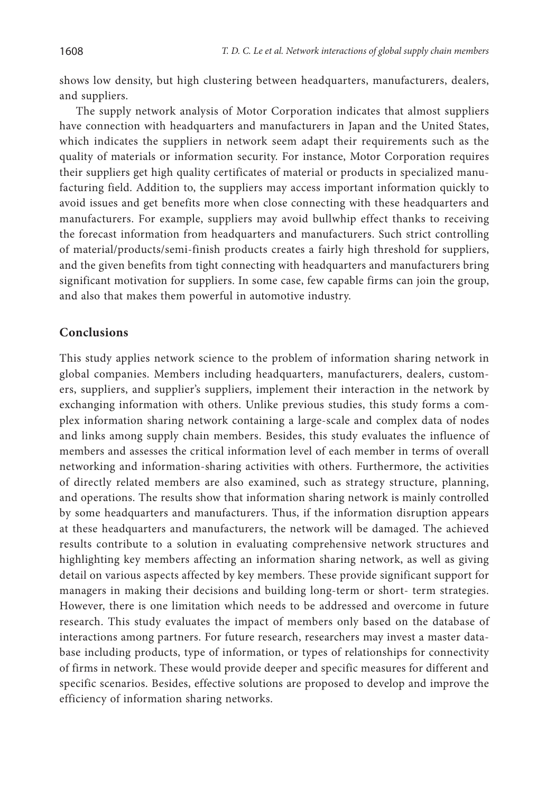shows low density, but high clustering between headquarters, manufacturers, dealers, and suppliers.

The supply network analysis of Motor Corporation indicates that almost suppliers have connection with headquarters and manufacturers in Japan and the United States, which indicates the suppliers in network seem adapt their requirements such as the quality of materials or information security. For instance, Motor Corporation requires their suppliers get high quality certificates of material or products in specialized manufacturing field. Addition to, the suppliers may access important information quickly to avoid issues and get benefits more when close connecting with these headquarters and manufacturers. For example, suppliers may avoid bullwhip effect thanks to receiving the forecast information from headquarters and manufacturers. Such strict controlling of material/products/semi-finish products creates a fairly high threshold for suppliers, and the given benefits from tight connecting with headquarters and manufacturers bring significant motivation for suppliers. In some case, few capable firms can join the group, and also that makes them powerful in automotive industry.

#### **Conclusions**

This study applies network science to the problem of information sharing network in global companies. Members including headquarters, manufacturers, dealers, customers, suppliers, and supplier's suppliers, implement their interaction in the network by exchanging information with others. Unlike previous studies, this study forms a complex information sharing network containing a large-scale and complex data of nodes and links among supply chain members. Besides, this study evaluates the influence of members and assesses the critical information level of each member in terms of overall networking and information-sharing activities with others. Furthermore, the activities of directly related members are also examined, such as strategy structure, planning, and operations. The results show that information sharing network is mainly controlled by some headquarters and manufacturers. Thus, if the information disruption appears at these headquarters and manufacturers, the network will be damaged. The achieved results contribute to a solution in evaluating comprehensive network structures and highlighting key members affecting an information sharing network, as well as giving detail on various aspects affected by key members. These provide significant support for managers in making their decisions and building long-term or short- term strategies. However, there is one limitation which needs to be addressed and overcome in future research. This study evaluates the impact of members only based on the database of interactions among partners. For future research, researchers may invest a master database including products, type of information, or types of relationships for connectivity of firms in network. These would provide deeper and specific measures for different and specific scenarios. Besides, effective solutions are proposed to develop and improve the efficiency of information sharing networks.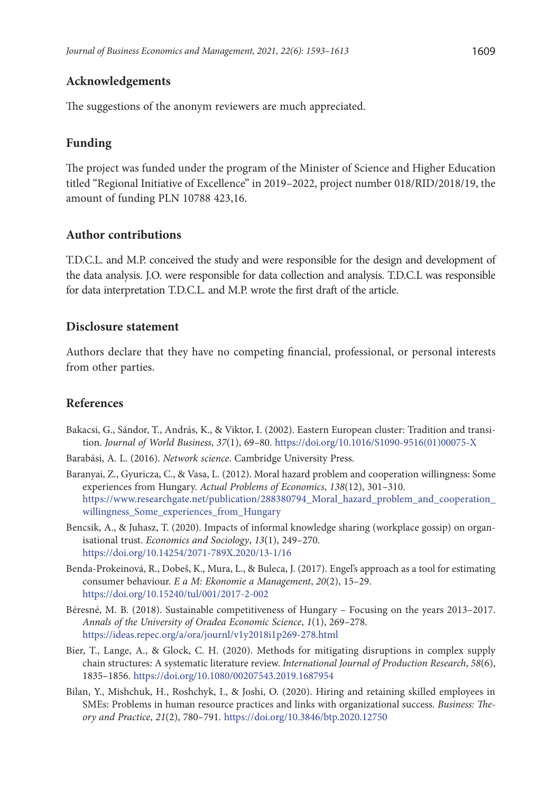### **Acknowledgements**

The suggestions of the anonym reviewers are much appreciated.

## **Funding**

The project was funded under the program of the Minister of Science and Higher Education titled "Regional Initiative of Excellence" in 2019–2022, project number 018/RID/2018/19, the amount of funding PLN 10788 423,16.

#### **Author contributions**

T.D.C.L. and M.P. conceived the study and were responsible for the design and development of the data analysis. J.O. were responsible for data collection and analysis. T.D.C.L was responsible for data interpretation T.D.C.L. and M.P. wrote the first draft of the article.

#### **Disclosure statement**

Authors declare that they have no competing financial, professional, or personal interests from other parties.

## **References**

- Bakacsi, G., Sándor, T., András, K., & Viktor, I. (2002). Eastern European cluster: Tradition and transition. *Journal of World Business*, *37*(1), 69–80. [https://doi.org/10.1016/S1090-9516\(01\)00075-X](https://doi.org/10.1016/S1090-9516(01)00075-X)
- Barabási, A. L. (2016). *Network science*. Cambridge University Press.
- Baranyai, Z., Gyuricza, C., & Vasa, L. (2012). Moral hazard problem and cooperation willingness: Some experiences from Hungary. *Actual Problems of Economics*, *138*(12), 301–310. https://www.researchgate.net/publication/288380794\_Moral\_hazard\_problem\_and\_cooperation\_ willingness\_Some\_experiences\_from\_Hungary
- Bencsik, A., & Juhasz, T. (2020). Impacts of informal knowledge sharing (workplace gossip) on organisational trust. *Economics and Sociology*, *13*(1), 249–270. <https://doi.org/10.14254/2071-789X.2020/13-1/16>
- Benda-Prokeinová, R., Dobeš, K., Mura, L., & Buleca, J. (2017). Engel's approach as a tool for estimating consumer behaviour. *E a M: Ekonomie a Management*, *20*(2), 15–29. <https://doi.org/10.15240/tul/001/2017-2-002>
- Béresné, M. B. (2018). Sustainable competitiveness of Hungary Focusing on the years 2013–2017. *Annals of the University of Oradea Economic Science*, *1*(1), 269–278. <https://ideas.repec.org/a/ora/journl/v1y2018i1p269-278.html>
- Bier, T., Lange, A., & Glock, C. H. (2020). Methods for mitigating disruptions in complex supply chain structures: A systematic literature review. *International Journal of Production Research*, *58*(6), 1835–1856. <https://doi.org/10.1080/00207543.2019.1687954>
- Bilan, Y., Mishchuk, H., Roshchyk, I., & Joshi, O. (2020). Hiring and retaining skilled employees in SMEs: Problems in human resource practices and links with organizational success. *Business: Theory and Practice*, *21*(2), 780–791. <https://doi.org/10.3846/btp.2020.12750>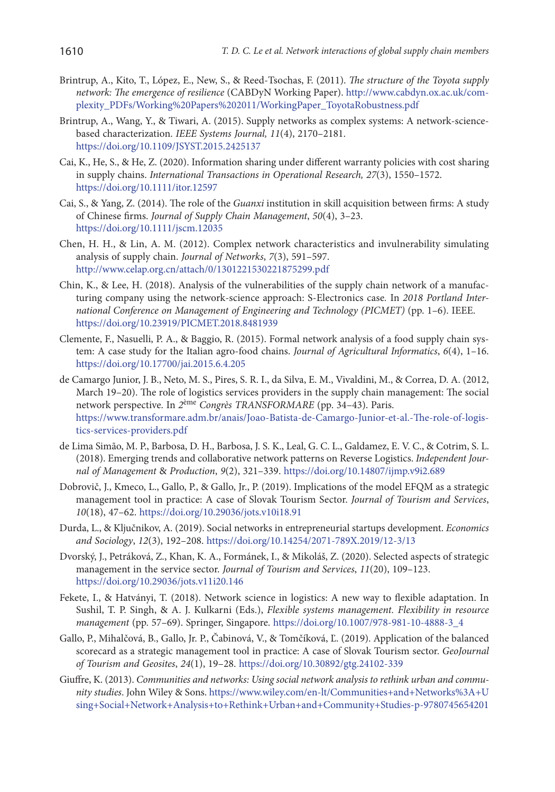- Brintrup, A., Kito, T., López, E., New, S., & Reed-Tsochas, F. (2011). *The structure of the Toyota supply network: The emergence of resilience* (CABDyN Working Paper). http://www.cabdyn.ox.ac.uk/complexity\_PDFs/Working%20Papers%202011/WorkingPaper\_ToyotaRobustness.pdf
- Brintrup, A., Wang, Y., & Tiwari, A. (2015). Supply networks as complex systems: A network-sciencebased characterization. *IEEE Systems Journal, 11*(4), 2170–2181. <https://doi.org/10.1109/JSYST.2015.2425137>
- Cai, K., He, S., & He, Z. (2020). Information sharing under different warranty policies with cost sharing in supply chains. *International Transactions in Operational Research, 27*(3), 1550–1572. <https://doi.org/10.1111/itor.12597>
- Cai, S., & Yang, Z. (2014). The role of the *Guanxi* institution in skill acquisition between firms: A study of Chinese firms. *Journal of Supply Chain Management*, *50*(4), 3–23. <https://doi.org/10.1111/jscm.12035>
- Chen, H. H., & Lin, A. M. (2012). Complex network characteristics and invulnerability simulating analysis of supply chain. *Journal of Networks*, *7*(3), 591–597. http://www.celap.org.cn/attach/0/1301221530221875299.pdf
- Chin, K., & Lee, H. (2018). Analysis of the vulnerabilities of the supply chain network of a manufacturing company using the network-science approach: S-Electronics case*.* In *2018 Portland International Conference on Management of Engineering and Technology (PICMET)* (pp. 1–6). IEEE. <https://doi.org/10.23919/PICMET.2018.8481939>
- Clemente, F., Nasuelli, P. A., & Baggio, R. (2015). Formal network analysis of a food supply chain system: A case study for the Italian agro-food chains. *Journal of Agricultural Informatics*, *6*(4), 1–16. <https://doi.org/10.17700/jai.2015.6.4.205>
- de Camargo Junior, J. B., Neto, M. S., Pires, S. R. I., da Silva, E. M., Vivaldini, M., & Correa, D. A. (2012, March 19–20). The role of logistics services providers in the supply chain management: The social network perspective. In *2*ème *Congrès TRANSFORMARE* (pp. 34–43). Paris. https://www.transformare.adm.br/anais/Joao-Batista-de-Camargo-Junior-et-al.-The-role-of-logistics-services-providers.pdf
- de Lima Simão, M. P., Barbosa, D. H., Barbosa, J. S. K., Leal, G. C. L., Galdamez, E. V. C., & Cotrim, S. L. (2018). Emerging trends and collaborative network patterns on Reverse Logistics. *Independent Journal of Management* & *Production*, *9*(2), 321–339. <https://doi.org/10.14807/ijmp.v9i2.689>
- Dobrovič, J., Kmeco, L., Gallo, P., & Gallo, Jr., P. (2019). Implications of the model EFQM as a strategic management tool in practice: A case of Slovak Tourism Sector. *Journal of Tourism and Services*, *10*(18), 47–62. <https://doi.org/10.29036/jots.v10i18.91>
- Durda, L., & Ključnikov, A. (2019). Social networks in entrepreneurial startups development. *Economics and Sociology*, *12*(3), 192–208. <https://doi.org/10.14254/2071-789X.2019/12-3/13>
- Dvorský, J., Petráková, Z., Khan, K. A., Formánek, I., & Mikoláš, Z. (2020). Selected aspects of strategic management in the service sector. *Journal of Tourism and Services*, *11*(20), 109–123. <https://doi.org/10.29036/jots.v11i20.146>
- Fekete, I., & Hatványi, T. (2018). Network science in logistics: A new way to flexible adaptation. In Sushil, T. P. Singh, & A. J. Kulkarni (Eds.), *Flexible systems management. Flexibility in resource management* (pp. 57–69). Springer, Singapore. [https://doi.org/10.1007/978-981-10-4888-3\\_4](https://doi.org/10.1007/978-981-10-4888-3_4)
- Gallo, P., Mihalčová, B., Gallo, Jr. P., Čabinová, V., & Tomčíková, Ľ. (2019). Application of the balanced scorecard as a strategic management tool in practice: A case of Slovak Tourism sector. *GeoJournal of Tourism and Geosites*, *24*(1), 19–28. <https://doi.org/10.30892/gtg.24102-339>
- Giuffre, K. (2013). *Communities and networks: Using social network analysis to rethink urban and community studies*. John Wiley & Sons. https://www.wiley.com/en-lt/Communities+and+Networks%3A+U sing+Social+Network+Analysis+to+Rethink+Urban+and+Community+Studies-p-9780745654201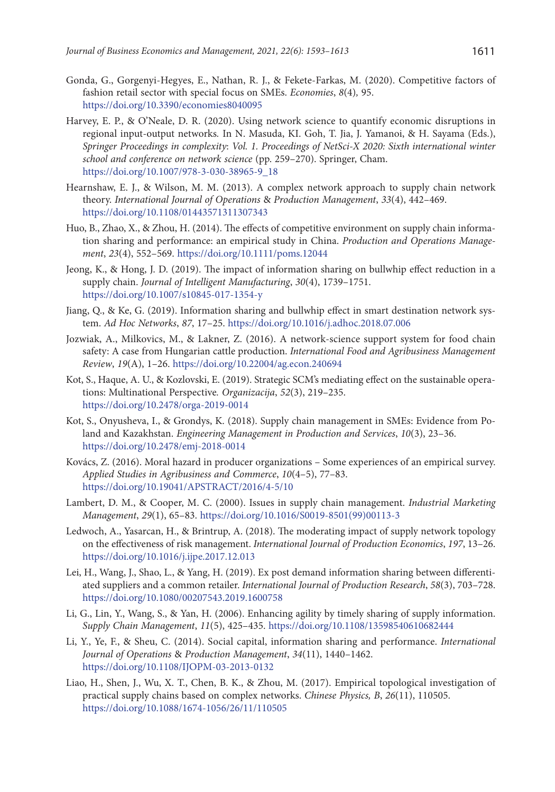Gonda, G., Gorgenyi-Hegyes, E., Nathan, R. J., & Fekete-Farkas, M. (2020). Competitive factors of fashion retail sector with special focus on SMEs. *Economies*, *8*(4)*,* 95.

<https://doi.org/10.3390/economies8040095>

- Harvey, E. P., & O'Neale, D. R. (2020). Using network science to quantify economic disruptions in regional input-output networks*.* In N. Masuda, KI. Goh, T. Jia, J. Yamanoi, & H. Sayama (Eds.), *Springer Proceedings in complexity*: *Vol. 1. Proceedings of NetSci-X 2020: Sixth international winter school and conference on network science* (pp. 259–270). Springer, Cham. [https://doi.org/10.1007/978-3-030-38965-9\\_18](https://doi.org/10.1007/978-3-030-38965-9_18)
- Hearnshaw, E. J., & Wilson, M. M. (2013). A complex network approach to supply chain network theory. *International Journal of Operations* & *Production Management*, *33*(4), 442–469. <https://doi.org/10.1108/01443571311307343>
- Huo, B., Zhao, X., & Zhou, H. (2014). The effects of competitive environment on supply chain information sharing and performance: an empirical study in China. *Production and Operations Management*, *23*(4), 552–569. <https://doi.org/10.1111/poms.12044>
- Jeong, K., & Hong, J. D. (2019). The impact of information sharing on bullwhip effect reduction in a supply chain. *Journal of Intelligent Manufacturing*, *30*(4), 1739–1751. <https://doi.org/10.1007/s10845-017-1354-y>
- Jiang, Q., & Ke, G. (2019). Information sharing and bullwhip effect in smart destination network system. *Ad Hoc Networks*, *87*, 17–25. <https://doi.org/10.1016/j.adhoc.2018.07.006>
- Jozwiak, A., Milkovics, M., & Lakner, Z. (2016). A network-science support system for food chain safety: A case from Hungarian cattle production. *International Food and Agribusiness Management Review*, *19*(A), 1–26. <https://doi.org/10.22004/ag.econ.240694>
- Kot, S., Haque, A. U., & Kozlovski, E. (2019). Strategic SCM's mediating effect on the sustainable operations: Multinational Perspective*. Organizacija*, *52*(3), 219–235. <https://doi.org/10.2478/orga-2019-0014>
- Kot, S., Onyusheva, I., & Grondys, K. (2018). Supply chain management in SMEs: Evidence from Poland and Kazakhstan. *Engineering Management in Production and Services*, *10*(3), 23–36. <https://doi.org/10.2478/emj-2018-0014>
- Kovács, Z. (2016). Moral hazard in producer organizations Some experiences of an empirical survey. *Applied Studies in Agribusiness and Commerce*, *10*(4–5), 77–83. <https://doi.org/10.19041/APSTRACT/2016/4-5/10>
- Lambert, D. M., & Cooper, M. C. (2000). Issues in supply chain management. *Industrial Marketing Management*, *29*(1), 65–83. [https://doi.org/10.1016/S0019-8501\(99\)00113-3](https://doi.org/10.1016/S0019-8501(99)00113-3)
- Ledwoch, A., Yasarcan, H., & Brintrup, A. (2018). The moderating impact of supply network topology on the effectiveness of risk management. *International Journal of Production Economics*, *197*, 13–26. <https://doi.org/10.1016/j.ijpe.2017.12.013>
- Lei, H., Wang, J., Shao, L., & Yang, H. (2019). Ex post demand information sharing between differentiated suppliers and a common retailer. *International Journal of Production Research*, *58*(3), 703–728. <https://doi.org/10.1080/00207543.2019.1600758>
- Li, G., Lin, Y., Wang, S., & Yan, H. (2006). Enhancing agility by timely sharing of supply information. *Supply Chain Management*, *11*(5), 425–435. <https://doi.org/10.1108/13598540610682444>
- Li, Y., Ye, F., & Sheu, C. (2014). Social capital, information sharing and performance. *International Journal of Operations* & *Production Management*, *34*(11), 1440–1462. <https://doi.org/10.1108/IJOPM-03-2013-0132>
- Liao, H., Shen, J., Wu, X. T., Chen, B. K., & Zhou, M. (2017). Empirical topological investigation of practical supply chains based on complex networks. *Chinese Physics, B*, *26*(11), 110505. <https://doi.org/10.1088/1674-1056/26/11/110505>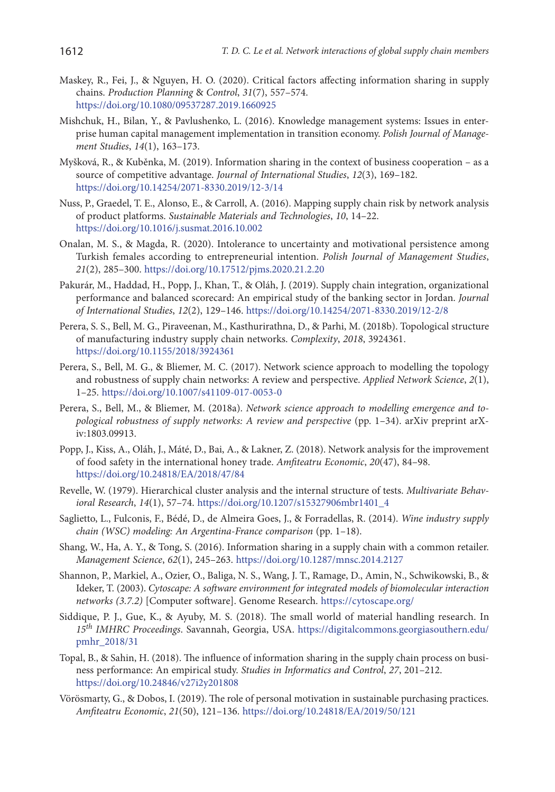- Maskey, R., Fei, J., & Nguyen, H. O. (2020). Critical factors affecting information sharing in supply chains. *Production Planning* & *Control*, *31*(7), 557–574. <https://doi.org/10.1080/09537287.2019.1660925>
- Mishchuk, H., Bilan, Y., & Pavlushenko, L. (2016). Knowledge management systems: Issues in enterprise human capital management implementation in transition economy. *Polish Journal of Management Studies*, *14*(1), 163–173.
- Myšková, R., & Kuběnka, M. (2019). Information sharing in the context of business cooperation as a source of competitive advantage. *Journal of International Studies*, *12*(3), 169–182. <https://doi.org/10.14254/2071-8330.2019/12-3/14>
- Nuss, P., Graedel, T. E., Alonso, E., & Carroll, A. (2016). Mapping supply chain risk by network analysis of product platforms. *Sustainable Materials and Technologies*, *10*, 14–22. <https://doi.org/10.1016/j.susmat.2016.10.002>
- Onalan, M. S., & Magda, R. (2020). Intolerance to uncertainty and motivational persistence among Turkish females according to entrepreneurial intention. *Polish Journal of Management Studies*, *21*(2), 285–300. <https://doi.org/10.17512/pjms.2020.21.2.20>
- Pakurár, M., Haddad, H., Popp, J., Khan, T., & Oláh, J. (2019). Supply chain integration, organizational performance and balanced scorecard: An empirical study of the banking sector in Jordan. *Journal of International Studies*, *12*(2), 129–146. <https://doi.org/10.14254/2071-8330.2019/12-2/8>
- Perera, S. S., Bell, M. G., Piraveenan, M., Kasthurirathna, D., & Parhi, M. (2018b). Topological structure of manufacturing industry supply chain networks. *Complexity*, *2018*, 3924361. <https://doi.org/10.1155/2018/3924361>
- Perera, S., Bell, M. G., & Bliemer, M. C. (2017). Network science approach to modelling the topology and robustness of supply chain networks: A review and perspective. *Applied Network Science*, *2*(1), 1–25. <https://doi.org/10.1007/s41109-017-0053-0>
- Perera, S., Bell, M., & Bliemer, M. (2018a). *Network science approach to modelling emergence and topological robustness of supply networks: A review and perspective* (pp. 1–34). arXiv preprint arXiv:1803.09913.
- Popp, J., Kiss, A., Oláh, J., Máté, D., Bai, A., & Lakner, Z. (2018). Network analysis for the improvement of food safety in the international honey trade. *Amfiteatru Economic*, *20*(47), 84–98. <https://doi.org/10.24818/EA/2018/47/84>
- Revelle, W. (1979). Hierarchical cluster analysis and the internal structure of tests. *Multivariate Behavioral Research*, *14*(1), 57–74. [https://doi.org/10.1207/s15327906mbr1401\\_4](https://doi.org/10.1207/s15327906mbr1401_4)
- Saglietto, L., Fulconis, F., Bédé, D., de Almeira Goes, J., & Forradellas, R. (2014). *Wine industry supply chain (WSC) modeling: An Argentina-France comparison* (pp. 1–18).
- Shang, W., Ha, A. Y., & Tong, S. (2016). Information sharing in a supply chain with a common retailer. *Management Science*, *62*(1), 245–263. <https://doi.org/10.1287/mnsc.2014.2127>
- Shannon, P., Markiel, A., Ozier, O., Baliga, N. S., Wang, J. T., Ramage, D., Amin, N., Schwikowski, B., & Ideker, T. (2003). *Cytoscape: A software environment for integrated models of biomolecular interaction networks (3.7.2)* [Computer software]. Genome Research. <https://cytoscape.org/>
- Siddique, P. J., Gue, K., & Ayuby, M. S. (2018). The small world of material handling research. In *15th IMHRC Proceedings*. Savannah, Georgia, USA. [https://digitalcommons.georgiasouthern.edu/](https://digitalcommons.georgiasouthern.edu/pmhr_2018/31) [pmhr\\_2018/31](https://digitalcommons.georgiasouthern.edu/pmhr_2018/31)
- Topal, B., & Sahin, H. (2018). The influence of information sharing in the supply chain process on business performance: An empirical study. *Studies in Informatics and Control*, *27*, 201–212. <https://doi.org/10.24846/v27i2y201808>
- Vörösmarty, G., & Dobos, I. (2019). The role of personal motivation in sustainable purchasing practices. *Amfiteatru Economic*, *21*(50), 121–136. <https://doi.org/10.24818/EA/2019/50/121>